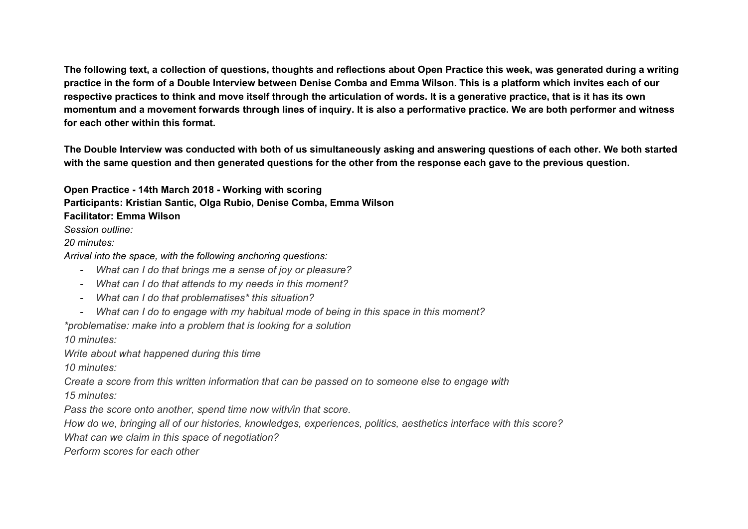The following text, a collection of questions, thoughts and reflections about Open Practice this week, was generated during a writing practice in the form of a Double Interview between Denise Comba and Emma Wilson. This is a platform which invites each of our respective practices to think and move itself through the articulation of words. It is a generative practice, that is it has its own momentum and a movement forwards through lines of inquiry. It is also a performative practice. We are both performer and witness **for each other within this format.**

The Double Interview was conducted with both of us simultaneously asking and answering questions of each other. We both started with the same question and then generated questions for the other from the response each gave to the previous question.

**Open Practice - 14th March 2018 - Working with scoring Participants: Kristian Santic, Olga Rubio, Denise Comba, Emma Wilson Facilitator: Emma Wilson** *Session outline:*

*20 minutes:*

*Arrival into the space, with the following anchoring questions:*

- *- What can I do that brings me a sense of joy or pleasure?*
- *- What can I do that attends to my needs in this moment?*
- *- What can I do that problematises\* this situation?*
- *- What can I do to engage with my habitual mode of being in this space in this moment?*

*\*problematise: make into a problem that is looking for a solution*

*10 minutes:*

*Write about what happened during this time*

*10 minutes:*

*Create a score from this written information that can be passed on to someone else to engage with 15 minutes:*

*Pass the score onto another, spend time now with/in that score.*

How do we, bringing all of our histories, knowledges, experiences, politics, aesthetics interface with this score?

*What can we claim in this space of negotiation?*

*Perform scores for each other*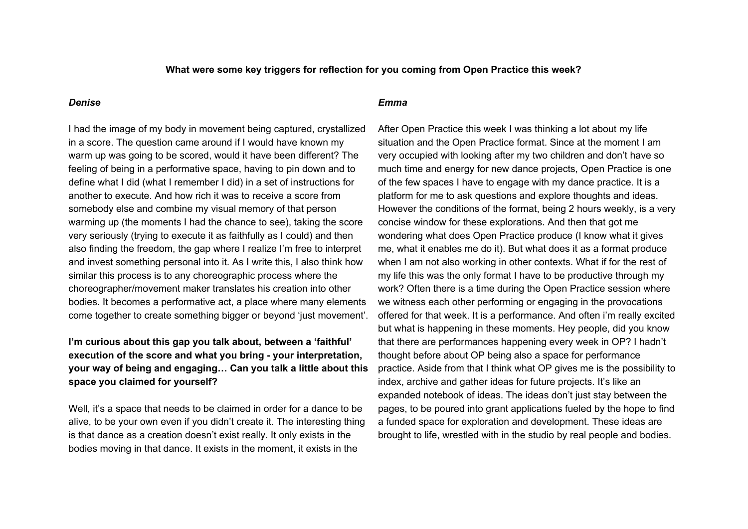### **What were some key triggers for reflection for you coming from Open Practice this week?**

#### *Denise*

I had the image of my body in movement being captured, crystallized in a score. The question came around if I would have known my warm up was going to be scored, would it have been different? The feeling of being in a performative space, having to pin down and to define what I did (what I remember I did) in a set of instructions for another to execute. And how rich it was to receive a score from somebody else and combine my visual memory of that person warming up (the moments I had the chance to see), taking the score very seriously (trying to execute it as faithfully as I could) and then also finding the freedom, the gap where I realize I'm free to interpret and invest something personal into it. As I write this, I also think how similar this process is to any choreographic process where the choreographer/movement maker translates his creation into other bodies. It becomes a performative act, a place where many elements come together to create something bigger or beyond 'just movement'.

# **I'm curious about this gap you talk about, between a 'faithful' execution of the score and what you bring - your interpretation, your way of being and engaging… Can you talk a little about this space you claimed for yourself?**

Well, it's a space that needs to be claimed in order for a dance to be alive, to be your own even if you didn't create it. The interesting thing is that dance as a creation doesn't exist really. It only exists in the bodies moving in that dance. It exists in the moment, it exists in the

#### *Emma*

After Open Practice this week I was thinking a lot about my life situation and the Open Practice format. Since at the moment I am very occupied with looking after my two children and don't have so much time and energy for new dance projects, Open Practice is one of the few spaces I have to engage with my dance practice. It is a platform for me to ask questions and explore thoughts and ideas. However the conditions of the format, being 2 hours weekly, is a very concise window for these explorations. And then that got me wondering what does Open Practice produce (I know what it gives me, what it enables me do it). But what does it as a format produce when I am not also working in other contexts. What if for the rest of my life this was the only format I have to be productive through my work? Often there is a time during the Open Practice session where we witness each other performing or engaging in the provocations offered for that week. It is a performance. And often i'm really excited but what is happening in these moments. Hey people, did you know that there are performances happening every week in OP? I hadn't thought before about OP being also a space for performance practice. Aside from that I think what OP gives me is the possibility to index, archive and gather ideas for future projects. It's like an expanded notebook of ideas. The ideas don't just stay between the pages, to be poured into grant applications fueled by the hope to find a funded space for exploration and development. These ideas are brought to life, wrestled with in the studio by real people and bodies.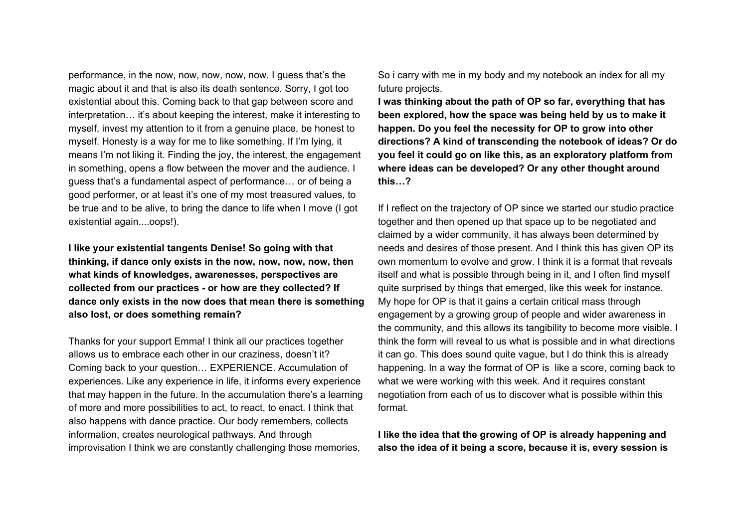performance, in the now, now, now, now, now. I guess that's the magic about it and that is also its death sentence. Sorry, I got too existential about this. Coming back to that gap between score and interpretation... it's about keeping the interest, make it interesting to myself, invest my attention to it from a genuine place, be honest to myself. Honesty is a way for me to like something. If I'm lying, it means I'm not liking it. Finding the joy, the interest, the engagement in something, opens a flow between the mover and the audience. I guess that's a fundamental aspect of performance… or of being a good performer, or at least it's one of my most treasured values, to be true and to be alive, to bring the dance to life when I move (I got existential again....oops!).

**I like your existential tangents Denise! So going with that thinking, if dance only exists in the now, now, now, now, then what kinds of knowledges, awarenesses, perspectives are collected from our practices - or how are they collected? If dance only exists in the now does that mean there is something also lost, or does something remain?**

Thanks for your support Emma! I think all our practices together allows us to embrace each other in our craziness, doesn't it? Coming back to your question… EXPERIENCE. Accumulation of experiences. Like any experience in life, it informs every experience that may happen in the future. In the accumulation there's a learning of more and more possibilities to act, to react, to enact. I think that also happens with dance practice. Our body remembers, collects information, creates neurological pathways. And through improvisation I think we are constantly challenging those memories,

So i carry with me in my body and my notebook an index for all my future projects.

**I was thinking about the path of OP so far, everything that has been explored, how the space was being held by us to make it happen. Do you feel the necessity for OP to grow into other directions? A kind of transcending the notebook of ideas? Or do you feel it could go on like this, as an exploratory platform from where ideas can be developed? Or any other thought around this…?**

If I reflect on the trajectory of OP since we started our studio practice together and then opened up that space up to be negotiated and claimed by a wider community, it has always been determined by needs and desires of those present. And I think this has given OP its own momentum to evolve and grow. I think it is a format that reveals itself and what is possible through being in it, and I often find myself quite surprised by things that emerged, like this week for instance. My hope for OP is that it gains a certain critical mass through engagement by a growing group of people and wider awareness in the community, and this allows its tangibility to become more visible. I think the form will reveal to us what is possible and in what directions it can go. This does sound quite vague, but I do think this is already happening. In a way the format of OP is like a score, coming back to what we were working with this week. And it requires constant negotiation from each of us to discover what is possible within this format.

**I like the idea that the growing of OP is already happening and also the idea of it being a score, because it is, every session is**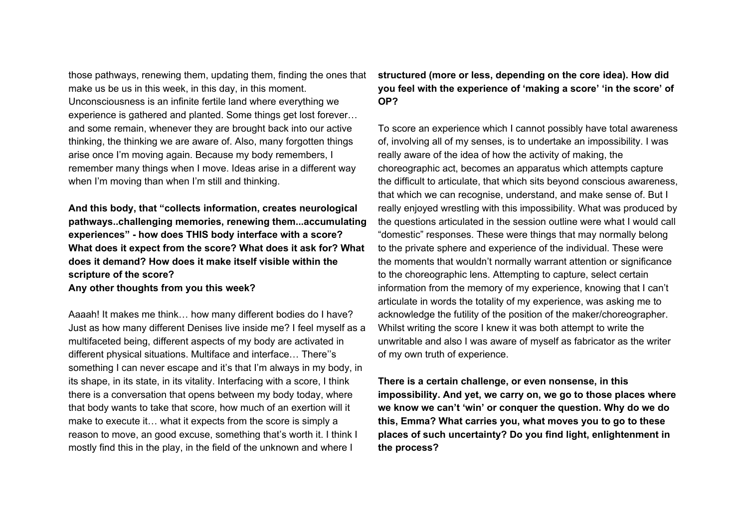those pathways, renewing them, updating them, finding the ones that make us be us in this week, in this day, in this moment. Unconsciousness is an infinite fertile land where everything we experience is gathered and planted. Some things get lost forever… and some remain, whenever they are brought back into our active thinking, the thinking we are aware of. Also, many forgotten things arise once I'm moving again. Because my body remembers, I remember many things when I move. Ideas arise in a different way when I'm moving than when I'm still and thinking.

**And this body, that "collects information, creates neurological pathways..challenging memories, renewing them...accumulating experiences" - how does THIS body interface with a score? What does it expect from the score? What does it ask for? What does it demand? How does it make itself visible within the scripture of the score?**

**Any other thoughts from you this week?**

Aaaah! It makes me think… how many different bodies do I have? Just as how many different Denises live inside me? I feel myself as a multifaceted being, different aspects of my body are activated in different physical situations. Multiface and interface… There''s something I can never escape and it's that I'm always in my body, in its shape, in its state, in its vitality. Interfacing with a score, I think there is a conversation that opens between my body today, where that body wants to take that score, how much of an exertion will it make to execute it… what it expects from the score is simply a reason to move, an good excuse, something that's worth it. I think I mostly find this in the play, in the field of the unknown and where I

**structured (more or less, depending on the core idea). How did you feel with the experience of 'making a score' 'in the score' of OP?**

To score an experience which I cannot possibly have total awareness of, involving all of my senses, is to undertake an impossibility. I was really aware of the idea of how the activity of making, the choreographic act, becomes an apparatus which attempts capture the difficult to articulate, that which sits beyond conscious awareness, that which we can recognise, understand, and make sense of. But I really enjoyed wrestling with this impossibility. What was produced by the questions articulated in the session outline were what I would call "domestic" responses. These were things that may normally belong to the private sphere and experience of the individual. These were the moments that wouldn't normally warrant attention or significance to the choreographic lens. Attempting to capture, select certain information from the memory of my experience, knowing that I can't articulate in words the totality of my experience, was asking me to acknowledge the futility of the position of the maker/choreographer. Whilst writing the score I knew it was both attempt to write the unwritable and also I was aware of myself as fabricator as the writer of my own truth of experience.

**There is a certain challenge, or even nonsense, in this impossibility. And yet, we carry on, we go to those places where we know we can't 'win' or conquer the question. Why do we do this, Emma? What carries you, what moves you to go to these places of such uncertainty? Do you find light, enlightenment in the process?**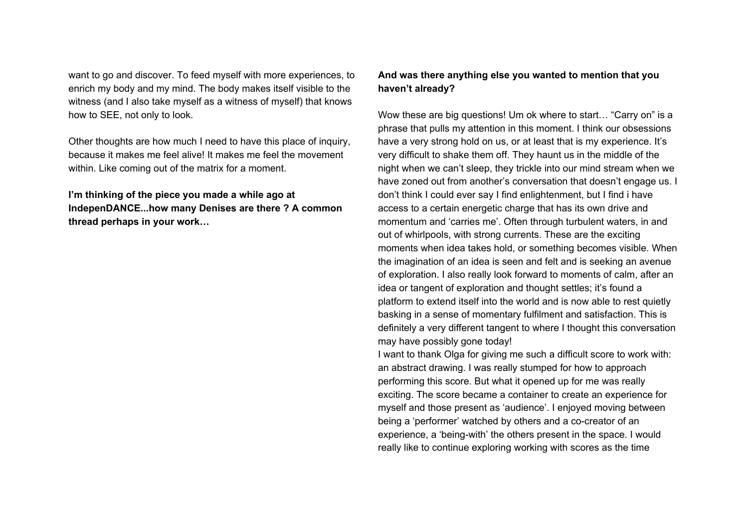want to go and discover. To feed myself with more experiences, to enrich my body and my mind. The body makes itself visible to the witness (and I also take myself as a witness of myself) that knows how to SEE, not only to look.

Other thoughts are how much I need to have this place of inquiry, because it makes me feel alive! It makes me feel the movement within. Like coming out of the matrix for a moment.

**I'm thinking of the piece you made a while ago at IndepenDANCE...how many Denises are there ? A common thread perhaps in your work…**

## **And was there anything else you wanted to mention that you haven't already?**

Wow these are big questions! Um ok where to start… "Carry on" is a phrase that pulls my attention in this moment. I think our obsessions have a very strong hold on us, or at least that is my experience. It's very difficult to shake them off. They haunt us in the middle of the night when we can't sleep, they trickle into our mind stream when we have zoned out from another's conversation that doesn't engage us. I don't think I could ever say I find enlightenment, but I find i have access to a certain energetic charge that has its own drive and momentum and 'carries me'. Often through turbulent waters, in and out of whirlpools, with strong currents. These are the exciting moments when idea takes hold, or something becomes visible. When the imagination of an idea is seen and felt and is seeking an avenue of exploration. I also really look forward to moments of calm, after an idea or tangent of exploration and thought settles; it's found a platform to extend itself into the world and is now able to rest quietly basking in a sense of momentary fulfilment and satisfaction. This is definitely a very different tangent to where I thought this conversation may have possibly gone today!

I want to thank Olga for giving me such a difficult score to work with: an abstract drawing. I was really stumped for how to approach performing this score. But what it opened up for me was really exciting. The score became a container to create an experience for myself and those present as 'audience'. I enjoyed moving between being a 'performer' watched by others and a co-creator of an experience, a 'being-with' the others present in the space. I would really like to continue exploring working with scores as the time